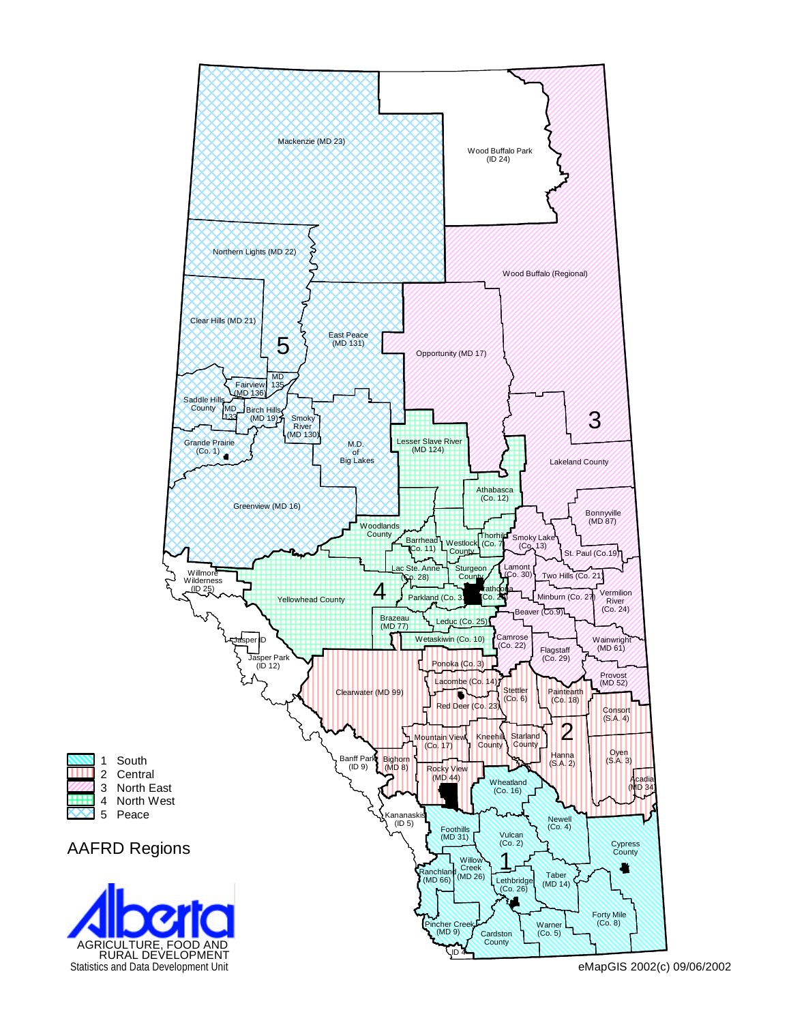

**THE R** 

**HHH** 

Statistics and Data Development Unit eMapGIS 2002(c) 09/06/2002